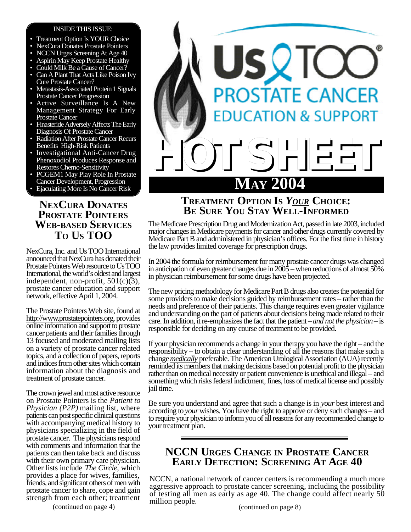### INSIDE THIS ISSUE:

- Treatment Option Is YOUR Choice
- NexCura Donates Prostate Pointers
- NCCN Urges Screening At Age 40
- Aspirin May Keep Prostate Healthy
- Could Milk Be a Cause of Cancer?
- Can A Plant That Acts Like Poison Ivy Cure Prostate Cancer?
- Metastasis-Associated Protein 1 Signals Prostate Cancer Progression
- Active Surveillance Is A New Management Strategy For Early Prostate Cancer
- Finasteride Adversely Affects The Early Diagnosis Of Prostate Cancer
- Radiation After Prostate Cancer Recurs Benefits High-Risk Patients
- Investigational Anti-Cancer Drug Phenoxodiol Produces Response and Restores Chemo-Sensitivity
- PCGEM1 May Play Role In Prostate Cancer Development, Progression
- Ejaculating More Is No Cancer Risk

## **NEXCURA DONATES PROSTATE POINTERS WEB-BASED SERVICES TO US TOO**

NexCura, Inc. and Us TOO International announced that NexCura has donated their Prostate Pointers Web resource to Us TOO International, the world's oldest and largest independent, non-profit,  $501(c)(3)$ , prostate cancer education and support network, effective April 1, 2004.

The Prostate Pointers Web site, found at http://www.prostatepointers.org, provides online information and support to prostate cancer patients and their families through 13 focused and moderated mailing lists on a variety of prostate cancer related topics, and a collection of papers, reports and indices from other sites which contain information about the diagnosis and treatment of prostate cancer.

The crown jewel and most active resource on Prostate Pointers is the *Patient to Physician (P2P)* mailing list, where patients can post specific clinical questions with accompanying medical history to physicians specializing in the field of prostate cancer. The physicians respond with comments and information that the patients can then take back and discuss with their own primary care physician. Other lists include *The Circle*, which provides a place for wives, families, friends, and significant others of men with prostate cancer to share, cope and gain strength from each other; treatment

(continued on page 4)



## **TREATMENT OPTION IS** *YOUR* **CHOICE: BE SURE YOU STAY WELL-INFORMED**

The Medicare Prescription Drug and Modernization Act, passed in late 2003, included major changes in Medicare payments for cancer and other drugs currently covered by Medicare Part B and administered in physician's offices. For the first time in history the law provides limited coverage for prescription drugs.

In 2004 the formula for reimbursement for many prostate cancer drugs was changed in anticipation of even greater changes due in 2005 – when reductions of almost 50% in physician reimbursement for some drugs have been projected.

The new pricing methodology for Medicare Part B drugs also creates the potential for some providers to make decisions guided by reimbursement rates – rather than the needs and preference of their patients. This change requires even greater vigilance and understanding on the part of patients about decisions being made related to their care. In addition, it re-emphasizes the fact that the patient – *and not the physician* – is responsible for deciding on any course of treatment to be provided.

If your physician recommends a change in your therapy you have the right – and the responsibility – to obtain a clear understanding of all the reasons that make such a change *medically* preferable. The American Urological Association (AUA) recently reminded its members that making decisions based on potential profit to the physician rather than on medical necessity or patient convenience is unethical and illegal – and something which risks federal indictment, fines, loss of medical license and possibly jail time.

Be sure you understand and agree that such a change is in *your* best interest and according to *your* wishes. You have the right to approve or deny such changes – and to require your physician to inform you of all reasons for any recommended change to your treatment plan.

## **NCCN URGES CHANGE IN PROSTATE CANCER EARLY DETECTION: SCREENING AT AGE 40**

NCCN, a national network of cancer centers is recommending a much more aggressive approach to prostate cancer screening, including the possibility of testing all men as early as age 40. The change could affect nearly 50 million people.

(continued on page 8)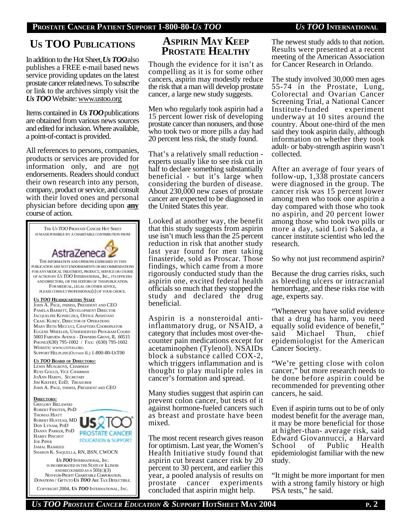# **US TOO PUBLICATIONS**

In addition to the Hot Sheet, *Us TOO*also publishes a FREE e-mail based news service providing updates on the latest prostate cancer related news. To subscribe or link to the archives simply visit the *Us TOO* Website: www.ustoo.org

Items contained in *Us TOO*publications are obtained from various news sources and edited for inclusion. Where available, a point-of-contact is provided.

All references to persons, companies, products or services are provided for information only, and are not endorsements. Readers should conduct their own research into any person, company, product or service, and consult with their loved ones and personal physician before deciding upon **any** course of action.



# **ASPIRIN MAY KEEP PROSTATE HEALTHY**

Though the evidence for it isn't as compelling as it is for some other cancers, aspirin may modestly reduce the risk that a man will develop prostate cancer, a large new study suggests.

Men who regularly took aspirin had a 15 percent lower risk of developing prostate cancer than nonusers, and those who took two or more pills a day had 20 percent less risk, the study found.

That's a relatively small reduction experts usually like to see risk cut in half to declare something substantially beneficial - but it's large when considering the burden of disease. About 230,000 new cases of prostate cancer are expected to be diagnosed in the United States this year.

Looked at another way, the benefit that this study suggests from aspirin use isn't much less than the 25 percent reduction in risk that another study last year found for men taking finasteride, sold as Proscar. Those findings, which came from a more rigorously conducted study than the aspirin one, excited federal health officials so much that they stopped the study and declared the drug beneficial.

Aspirin is a nonsteroidal antiinflammatory drug, or NSAID, a category that includes most over-thecounter pain medications except for acetaminophen (Tylenol). NSAIDs block a substance called COX-2, which triggers inflammation and is thought to play multiple roles in cancer's formation and spread.

Many studies suggest that aspirin can prevent colon cancer, but tests of it against hormone-fueled cancers such as breast and prostate have been mixed.

The most recent research gives reason for optimism. Last year, the Women's Health Initiative study found that aspirin cut breast cancer risk by 20 percent to 30 percent, and earlier this year, a pooled analysis of results on prostate cancer experiments concluded that aspirin might help.

The newest study adds to that notion. Results were presented at a recent meeting of the American Association for Cancer Research in Orlando.

The study involved 30,000 men ages 55-74 in the Prostate, Lung, Colorectal and Ovarian Cancer Screening Trial, a National Cancer Institute-funded experiment underway at 10 sites around the country. About one-third of the men said they took aspirin daily, although information on whether they took adult- or baby-strength aspirin wasn't collected.

After an average of four years of follow-up, 1,338 prostate cancers were diagnosed in the group. The cancer risk was 15 percent lower among men who took one aspirin a day compared with those who took no aspirin, and 20 percent lower among those who took two pills or more a day, said Lori Sakoda, a cancer institute scientist who led the research.

So why not just recommend aspirin?

Because the drug carries risks, such as bleeding ulcers or intracranial hemorrhage, and these risks rise with age, experts say.

"Whenever you have solid evidence that a drug has harm, you need equally solid evidence of benefit, said Michael Thun, chief epidemiologist for the American Cancer Society.

"We're getting close with colon cancer," but more research needs to be done before aspirin could be recommended for preventing other cancers, he said.

Even if aspirin turns out to be of only modest benefit for the average man, it may be more beneficial for those at higher-than- average risk, said Edward Giovannucci, a Harvard School of Public Health epidemiologist familiar with the new study.

"It might be more important for men with a strong family history or high PSA tests," he said.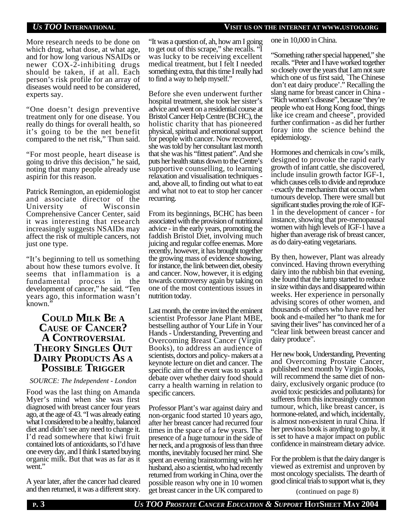### *US TOO* **INTERNATIONAL VISIT US ON THE INTERNET AT WWW.USTOO.ORG**

More research needs to be done on which drug, what dose, at what age, and for how long various NSAIDs or newer COX-2-inhibiting drugs should be taken, if at all. Each person's risk profile for an array of diseases would need to be considered, experts say.

"One doesn't design preventive treatment only for one disease. You really do things for overall health, so it's going to be the net benefit compared to the net risk," Thun said.

"For most people, heart disease is going to drive this decision," he said, noting that many people already use aspirin for this reason.

Patrick Remington, an epidemiologist and associate director of the University of Wisconsin Comprehensive Cancer Center, said it was interesting that research increasingly suggests NSAIDs may affect the risk of multiple cancers, not just one type.

"It's beginning to tell us something about how these tumors evolve. It seems that inflammation is a fundamental process in the development of cancer," he said. "Ten years ago, this information wasn't known."

### **COULD MILK BE A CAUSE OF CANCER? A CONTROVERSIAL THEORY SINGLES OUT DAIRY PRODUCTS AS A POSSIBLE TRIGGER**

### *SOURCE: The Independent - London*

Food was the last thing on Amanda Myer's mind when she was first diagnosed with breast cancer four years ago, at the age of 43. "I was already eating what I considered to be a healthy, balanced diet and didn't see any need to change it. I'd read somewhere that kiwi fruit contained lots of antioxidants, so I'd have one every day, and I think I started buying organic milk. But that was as far as it went."

A year later, after the cancer had cleared and then returned, it was a different story. "It was a question of, ah, how am I going to get out of this scrape," she recalls. "I was lucky to be receiving excellent medical treatment, but I felt I needed something extra, that this time I really had to find a way to help myself."

Before she even underwent further hospital treatment, she took her sister's advice and went on a residential course at Bristol Cancer Help Centre (BCHC), the holistic charity that has pioneered physical, spiritual and emotional support for people with cancer. Now recovered, she was told by her consultant last month that she was his "fittest patient". And she puts her health status down to the Centre's supportive counselling, to learning relaxation and visualisation techniques and, above all, to finding out what to eat and what not to eat to stop her cancer recurring.

From its beginnings, BCHC has been associated with the provision of nutritional advice - in the early years, promoting the faddish Bristol Diet, involving much juicing and regular coffee enemas. More recently, however, it has brought together the growing mass of evidence showing, for instance, the link between diet, obesity and cancer. Now, however, it is edging towards controversy again by taking on one of the most contentious issues in nutrition today.

Last month, the centre invited the eminent scientist Professor Jane Plant MBE, bestselling author of Your Life in Your Hands - Understanding, Preventing and Overcoming Breast Cancer (Virgin Books), to address an audience of scientists, doctors and policy- makers at a keynote lecture on diet and cancer. The specific aim of the event was to spark a debate over whether dairy food should carry a health warning in relation to specific cancers.

Professor Plant's war against dairy and non-organic food started 10 years ago, after her breast cancer had recurred four times in the space of a few years. The presence of a huge tumour in the side of her neck, and a prognosis of less than three months, inevitably focused her mind. She spent an evening brainstorming with her husband, also a scientist, who had recently returned from working in China, over the possible reason why one in 10 women get breast cancer in the UK compared to

one in 10,000 in China.

"Something rather special happened," she recalls. "Peter and I have worked together so closely over the years that I am not sure which one of us first said, `The Chinese don't eat dairy produce'." Recalling the slang name for breast cancer in China - "Rich women's disease", because "they're people who eat Hong Kong food, things like ice cream and cheese", provided further confirmation - as did her further foray into the science behind the epidemiology.

Hormones and chemicals in cow's milk, designed to provoke the rapid early growth of infant cattle, she discovered, include insulin growth factor IGF-1, which causes cells to divide and reproduce - exactly the mechanism that occurs when tumours develop. There were small but significant studies proving the role of IGF-1 in the development of cancer - for instance, showing that pre-menopausal women with high levels of IGF-1 have a higher than average risk of breast cancer, as do dairy-eating vegetarians.

By then, however, Plant was already convinced. Having thrown everything dairy into the rubbish bin that evening, she found that the lump started to reduce in size within days and disappeared within weeks. Her experience in personally advising scores of other women, and thousands of others who have read her book and e-mailed her "to thank me for saving their lives" has convinced her of a "clear link between breast cancer and dairy produce".

Her new book, Understanding, Preventing and Overcoming Prostate Cancer, published next month by Virgin Books, will recommend the same diet of nondairy, exclusively organic produce (to avoid toxic pesticides and pollutants) for sufferers from this increasingly common tumour, which, like breast cancer, is hormone-related, and which, incidentally, is almost non-existent in rural China. If her previous book is anything to go by, it is set to have a major impact on public confidence in mainstream dietary advice.

For the problem is that the dairy danger is viewed as extremist and unproven by most oncology specialists. The dearth of good clinical trials to support what is, they

(continued on page 8)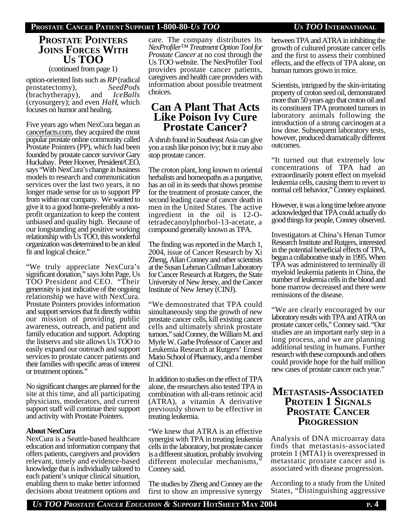### **PROSTATE CANCER PATIENT SUPPORT 1-800-80-***US TOO US TOO* **INTERNATIONAL**

### **PROSTATE POINTERS JOINS FORCES WITH US TOO**

(continued from page 1)

option-oriented lists such as *RP* (radical prostatectomy), *SeedPods* (brachytherapy), and *IceBalls* (cryosurgery); and even *HaH*, which focuses on humor and healing.

Five years ago when NexCura began as cancerfacts.com, they acquired the most popular prostate online community called Prostate Pointers (PP), which had been founded by prostate cancer survivor Gary Huckabay. Peter Hoover, President/CEO, says "With NexCura's change in business models to research and communication services over the last two years, it no longer made sense for us to support PP from within our company. We wanted to give it to a good home-preferably a nonprofit organization to keep the content unbiased and quality high. Because of our longstanding and positive working relationship with Us TOO, this wonderful organization was determined to be an ideal fit and logical choice."

"We truly appreciate NexCura's significant donation," says John Page, Us TOO President and CEO. "Their generosity is just indicative of the ongoing relationship we have with NexCura. Prostate Pointers provides information and support services that fit directly within our mission of providing public awareness, outreach, and patient and family education and support. Adopting the listservs and site allows Us TOO to easily expand our outreach and support services to prostate cancer patients and their families with specific areas of interest or treatment options."

No significant changes are planned for the site at this time, and all participating physicians, moderators, and current support staff will continue their support and activity with Prostate Pointers.

### **About NexCura**

NexCura is a Seattle-based healthcare education and information company that offers patients, caregivers and providers relevant, timely and evidence-based knowledge that is individually tailored to each patient's unique clinical situation, enabling them to make better informed decisions about treatment options and care. The company distributes its *NexProfiler™ Treatment Option Tool for Prostate Cancer* at no cost through the Us TOO website. The NexProfiler Tool provides prostate cancer patients, caregivers and health care providers with information about possible treatment choices.

### **Can A Plant That Acts Like Poison Ivy Cure Prostate Cancer?**

A shrub found in Southeast Asia can give you a rash like poison ivy; but it may also stop prostate cancer.

The croton plant, long known to oriental herbalists and homeopaths as a purgative, has an oil in its seeds that shows promise for the treatment of prostate cancer, the second leading cause of cancer death in men in the United States. The active ingredient in the oil is 12-Otetradecanoylphorbol-13-acetate, a compound generally known as TPA.

The finding was reported in the March 1, 2004, issue of Cancer Research by Xi Zheng, Allan Conney and other scientists at the Susan Lehman Cullman Laboratory for Cancer Research at Rutgers, the State University of New Jersey, and the Cancer Institute of New Jersey (CINJ).

"We demonstrated that TPA could simultaneously stop the growth of new prostate cancer cells, kill existing cancer cells and ultimately shrink prostate tumors," said Conney, the William M. and Myrle W. Garbe Professor of Cancer and Leukemia Research at Rutgers' Ernest Mario School of Pharmacy, and a member of CINJ.

In addition to studies on the effect of TPA alone, the researchers also tested TPA in combination with all-trans retinoic acid (ATRA), a vitamin A derivative previously shown to be effective in treating leukemia.

"We knew that ATRA is an effective synergist with TPA in treating leukemia cells in the laboratory, but prostate cancer is a different situation, probably involving different molecular mechanisms," Conney said.

The studies by Zheng and Conney are the first to show an impressive synergy

between TPA and ATRA in inhibiting the growth of cultured prostate cancer cells and the first to assess their combined effects, and the effects of TPA alone, on human tumors grown in mice.

Scientists, intrigued by the skin-irritating property of croton seed oil, demonstrated more than 50 years ago that croton oil and its constituent TPA promoted tumors in laboratory animals following the introduction of a strong carcinogen at a low dose. Subsequent laboratory tests, however, produced dramatically different outcomes.

"It turned out that extremely low concentrations of TPA had an extraordinarily potent effect on myeloid leukemia cells, causing them to revert to normal cell behavior," Conney explained.

However, it was a long time before anyone acknowledged that TPA could actually do good things for people, Conney observed.

Investigators at China's Henan Tumor Research Institute and Rutgers, interested in the potential beneficial effects of TPA, began a collaborative study in 1995. When TPA was administered to terminally ill myeloid leukemia patients in China, the number of leukemia cells in the blood and bone marrow decreased and there were remissions of the disease.

"We are clearly encouraged by our laboratory results with TPA and ATRA on prostate cancer cells," Conney said. "Our studies are an important early step in a long process, and we are planning additional testing in humans. Further research with these compounds and others could provide hope for the half million new cases of prostate cancer each year."

## **METASTASIS-ASSOCIATED PROTEIN 1 SIGNALS PROSTATE CANCER PROGRESSION**

Analysis of DNA microarray data finds that metastasis-associated protein 1 (MTA1) is overexpressed in metastatic prostate cancer and is associated with disease progression.

According to a study from the United States, "Distinguishing aggressive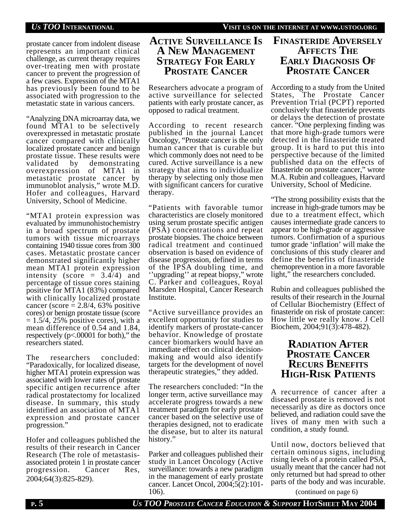prostate cancer from indolent disease represents an important clinical challenge, as current therapy requires over-treating men with prostate cancer to prevent the progression of a few cases. Expression of the MTA1 has previously been found to be associated with progression to the metastatic state in various cancers.

"Analyzing DNA microarray data, we found MTA1 to be selectively overexpressed in metastatic prostate cancer compared with clinically localized prostate cancer and benign prostate tissue. These results were validated by demonstrating overexpression of MTA1 in metastatic prostate cancer by immunoblot analysis," wrote M.D. Hofer and colleagues, Harvard University, School of Medicine.

"MTA1 protein expression was evaluated by immunohistochemistry in a broad spectrum of prostate tumors with tissue microarrays containing 1940 tissue cores from 300 cases. Metastatic prostate cancer demonstrated significantly higher mean MTA1 protein expression intensity (score =  $3.4\overline{4}$ ) and percentage of tissue cores staining positive for MTA1 (83%) compared with clinically localized prostate cancer (score  $= 2.8/4, 63%$  positive cores) or benign prostate tissue (score  $= 1.5/4$ , 25% positive cores), with a mean difference of 0.54 and 1.84, respectively (p<.00001 for both)," the researchers stated.

The researchers concluded: "Paradoxically, for localized disease, higher MTA1 protein expression was associated with lower rates of prostate specific antigen recurrence after radical prostatectomy for localized disease. In summary, this study identified an association of MTA1 expression and prostate cancer progression."

Hofer and colleagues published the results of their research in Cancer Research (The role of metastasisassociated protein 1 in prostate cancer progression. Cancer Res, 2004;64(3):825-829).

## **ACTIVE SURVEILLANCE IS A NEW MANAGEMENT STRATEGY FOR EARLY PROSTATE CANCER**

Researchers advocate a program of active surveillance for selected patients with early prostate cancer, as opposed to radical treatment.

According to recent research published in the journal Lancet Oncology, "Prostate cancer is the only human cancer that is curable but which commonly does not need to be cured. Active surveillance is a new strategy that aims to individualize therapy by selecting only those men with significant cancers for curative therapy.

"Patients with favorable tumor characteristics are closely monitored using serum prostate specific antigen (PSA) concentrations and repeat prostate biopsies. The choice between radical treatment and continued observation is based on evidence of disease progression, defined in terms of the IPSA doubling time, and ''upgrading'' at repeat biopsy," wrote C. Parker and colleagues, Royal Marsden Hospital, Cancer Research Institute.

"Active surveillance provides an excellent opportunity for studies to identify markers of prostate-cancer behavior. Knowledge of prostate cancer biomarkers would have an immediate effect on clinical decisionmaking and would also identify targets for the development of novel therapeutic strategies," they added.

The researchers concluded: "In the longer term, active surveillance may accelerate progress towards a new treatment paradigm for early prostate cancer based on the selective use of therapies designed, not to eradicate the disease, but to alter its natural history."

Parker and colleagues published their study in Lancet Oncology (Active surveillance: towards a new paradigm in the management of early prostate cancer. Lancet Oncol, 2004;5(2):101- 106).

## **FINASTERIDE ADVERSELY AFFECTS THE EARLY DIAGNOSIS OF PROSTATE CANCER**

According to a study from the United States, The Prostate Cancer Prevention Trial (PCPT) reported conclusively that finasteride prevents or delays the detection of prostate cancer. "One perplexing finding was that more high-grade tumors were detected in the finasteride treated group. It is hard to put this into perspective because of the limited published data on the effects of finasteride on prostate cancer," wrote M.A. Rubin and colleagues, Harvard University, School of Medicine.

"The strong possibility exists that the increase in high-grade tumors may be due to a treatment effect, which causes intermediate grade cancers to appear to be high-grade or aggressive tumors. Confirmation of a spurious tumor grade 'inflation' will make the conclusions of this study clearer and define the benefits of finasteride chemoprevention in a more favorable light," the researchers concluded.

Rubin and colleagues published the results of their research in the Journal of Cellular Biochemistry (Effect of finasteride on risk of prostate cancer: How little we really know. J Cell Biochem, 2004;91(3):478-482).

## **RADIATION AFTER PROSTATE CANCER RECURS BENEFITS HIGH-RISK PATIENTS**

A recurrence of cancer after a diseased prostate is removed is not necessarily as dire as doctors once believed, and radiation could save the lives of many men with such a condition, a study found.

Until now, doctors believed that certain ominous signs, including rising levels of a protein called PSA, usually meant that the cancer had not only returned but had spread to other parts of the body and was incurable.

(continued on page 6)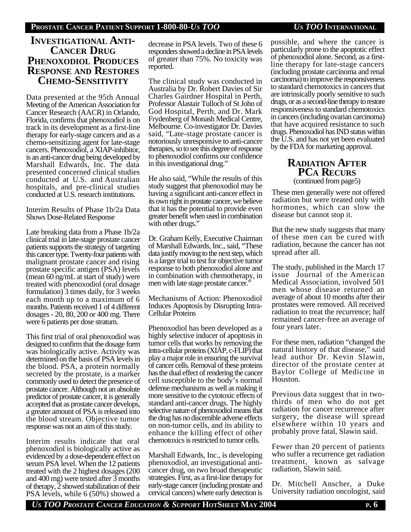### **INVESTIGATIONAL ANTI-CANCER DRUG PHENOXODIOL PRODUCES RESPONSE AND RESTORES CHEMO-SENSITIVITY**

Data presented at the 95th Annual Meeting of the American Association for Cancer Research (AACR) in Orlando, Florida, confirms that phenoxodiol is on track in its development as a first-line therapy for early-stage cancers and as a chemo-sensitizing agent for late-stage cancers. Phenoxodiol, a XIAP-inhibitor, is an anti-cancer drug being developed by Marshall Edwards, Inc. The data presented concerned clinical studies conducted at U.S. and Australian hospitals, and pre-clinical studies conducted at U.S. research institutions.

Interim Results of Phase 1b/2a Data Shows Dose-Related Response

Late breaking data from a Phase 1b/2a clinical trial in late-stage prostate cancer patients supports the strategy of targeting this cancer type. Twenty-four patients with malignant prostate cancer and rising prostate specific antigen (PSA) levels (mean 60 ng/mL at start of study) were treated with phenoxodiol (oral dosage formulation) 3 times daily, for 3 weeks each month up to a maximum of 6 months. Patients received 1 of 4 different dosages - 20, 80, 200 or 400 mg. There were 6 patients per dose stratum.

This first trial of oral phenoxodiol was designed to confirm that the dosage form was biologically active. Activity was determined on the basis of PSA levels in the blood. PSA, a protein normally secreted by the prostate, is a marker commonly used to detect the presence of prostate cancer. Although not an absolute predictor of prostate cancer, it is generally accepted that as prostate cancer develops, a greater amount of PSA is released into the blood stream. Objective tumor response was not an aim of this study.

Interim results indicate that oral phenoxodiol is biologically active as evidenced by a dose-dependent effect on serum PSA level. When the 12 patients treated with the 2 highest dosages (200 and 400 mg) were tested after 3 months of therapy, 2 showed stabilization of their PSA levels, while 6 (50%) showed a

decrease in PSA levels. Two of these 6 responders showed a decline in PSA levels of greater than 75%. No toxicity was reported.

The clinical study was conducted in Australia by Dr. Robert Davies of Sir Charles Gairdner Hospital in Perth, Professor Alastair Tulloch of St John of God Hospital, Perth, and Dr. Mark Frydenberg of Monash Medical Centre, Melbourne. Co-investigator Dr. Davies said, "Late-stage prostate cancer is notoriously unresponsive to anti-cancer therapies, so to see this degree of response to phenoxodiol confirms our confidence in this investigational drug."

He also said, "While the results of this study suggest that phenoxodiol may be having a significant anti-cancer effect in its own right in prostate cancer, we believe that it has the potential to provide even greater benefit when used in combination with other drugs."

Dr. Graham Kelly, Executive Chairman of Marshall Edwards, Inc., said, "These data justify moving to the next step, which is a larger trial to test for objective tumor response to both phenoxodiol alone and in combination with chemotherapy, in men with late stage prostate cancer."

Mechanisms of Action: Phenoxodiol Induces Apoptosis by Disrupting Intra-Cellular Proteins

Phenoxodiol has been developed as a highly selective inducer of apoptosis in tumor cells that works by removing the intra-cellular proteins (XIAP, c-FLIP) that play a major role in ensuring the survival of cancer cells. Removal of these proteins has the dual effect of rendering the cancer cell susceptible to the body's normal defense mechanisms as well as making it more sensitive to the cytotoxic effects of standard anti-cancer drugs. The highly selective nature of phenoxodiol means that the drug has no discernible adverse effects on non-tumor cells, and its ability to enhance the killing effect of other chemotoxics is restricted to tumor cells.

Marshall Edwards, Inc., is developing phenoxodiol, an investigational anticancer drug, on two broad therapeutic strategies. First, as a first-line therapy for early-stage cancer (including prostate and cervical cancers) where early detection is

possible, and where the cancer is particularly prone to the apoptotic effect of phenoxodiol alone. Second, as a firstline therapy for late-stage cancers (including prostate carcinoma and renal carcinoma) to improve the responsiveness to standard chemotoxics in cancers that are intrinsically poorly sensitive to such drugs, or as a second-line therapy to restore responsiveness to standard chemotoxics in cancers (including ovarian carcinoma) that have acquired resistance to such drugs. Phenoxodiol has IND status within the U.S. and has not yet been evaluated by the FDA for marketing approval.

### **RADIATION AFTER PCA RECURS** (continued from page5)

These men generally were not offered radiation but were treated only with hormones, which can slow the disease but cannot stop it.

But the new study suggests that many of these men can be cured with radiation, because the cancer has not spread after all.

The study, published in the March 17 issue Journal of the American Medical Association, involved 501 men whose disease returned an average of about 10 months after their prostates were removed. All received radiation to treat the recurrence; half remained cancer-free an average of four years later.

For these men, radiation "changed the natural history of that disease," said lead author Dr. Kevin Slawin, director of the prostate center at Baylor College of Medicine in Houston.

Previous data suggest that in twothirds of men who do not get radiation for cancer recurrence after surgery, the disease will spread elsewhere within 10 years and probably prove fatal, Slawin said.

Fewer than 20 percent of patients who suffer a recurrence get radiation treatment, known as salvage radiation, Slawin said.

Dr. Mitchell Anscher, a Duke University radiation oncologist, said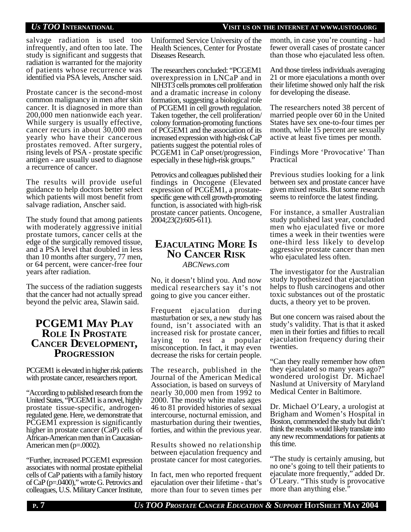### *US TOO* **INTERNATIONAL VISIT US ON THE INTERNET AT WWW.USTOO.ORG**

salvage radiation is used too infrequently, and often too late. The study is significant and suggests that radiation is warranted for the majority of patients whose recurrence was identified via PSA levels, Anscher said.

Prostate cancer is the second-most common malignancy in men after skin cancer. It is diagnosed in more than 200,000 men nationwide each year. While surgery is usually effective, cancer recurs in about 30,000 men yearly who have their cancerous prostates removed. After surgery, rising levels of PSA - prostate specific antigen - are usually used to diagnose a recurrence of cancer.

The results will provide useful guidance to help doctors better select which patients will most benefit from salvage radiation, Anscher said.

The study found that among patients with moderately aggressive initial prostate tumors, cancer cells at the edge of the surgically removed tissue, and a PSA level that doubled in less than 10 months after surgery, 77 men, or 64 percent, were cancer-free four years after radiation.

The success of the radiation suggests that the cancer had not actually spread beyond the pelvic area, Slawin said.

## **PCGEM1 MAY PLAY ROLE IN PROSTATE CANCER DEVELOPMENT, PROGRESSION**

PCGEM1 is elevated in higher risk patients with prostate cancer, researchers report.

"According to published research from the United States, "PCGEM1 is a novel, highly prostate tissue-specific, androgenregulated gene. Here, we demonstrate that PCGEM1 expression is significantly higher in prostate cancer (CaP) cells of African-American men than in Caucasian-American men (p=.0002).

"Further, increased PCGEM1 expression associates with normal prostate epithelial cells of CaP patients with a family history of CaP (p=.0400)," wrote G. Petrovics and colleagues, U.S. Military Cancer Institute,

Uniformed Service University of the Health Sciences, Center for Prostate Diseases Research.

The researchers concluded: "PCGEM1 overexpression in LNCaP and in NIH3T3 cells promotes cell proliferation and a dramatic increase in colony formation, suggesting a biological role of PCGEM1 in cell growth regulation. Taken together, the cell proliferation/ colony formation-promoting functions of PCGEM1 and the association of its increased expression with high-risk CaP patients suggest the potential roles of PCGEM1 in CaP onset/progression, especially in these high-risk groups."

Petrovics and colleagues published their findings in Oncogene (Elevated expression of PCGEM1, a prostatespecific gene with cell growth-promoting function, is associated with high-risk prostate cancer patients. Oncogene, 2004;23(2):605-611).

### **EJACULATING MORE IS NO CANCER RISK** *ABCNews.com*

No, it doesn't blind you. And now medical researchers say it's not going to give you cancer either.

Frequent ejaculation during masturbation or sex, a new study has found, isn't associated with an increased risk for prostate cancer, laying to rest a popular misconception. In fact, it may even decrease the risks for certain people.

The research, published in the Journal of the American Medical Association, is based on surveys of nearly 30,000 men from 1992 to 2000. The mostly white males ages 46 to 81 provided histories of sexual intercourse, nocturnal emission, and masturbation during their twenties, forties, and within the previous year.

Results showed no relationship between ejaculation frequency and prostate cancer for most categories.

In fact, men who reported frequent ejaculation over their lifetime - that's more than four to seven times per

month, in case you're counting - had fewer overall cases of prostate cancer than those who ejaculated less often.

And those tireless individuals averaging 21 or more ejaculations a month over their lifetime showed only half the risk for developing the disease.

The researchers noted 38 percent of married people over 60 in the United States have sex one-to-four times per month, while 15 percent are sexually active at least five times per month.

Findings More 'Provocative' Than Practical

Previous studies looking for a link between sex and prostate cancer have given mixed results. But some research seems to reinforce the latest finding.

For instance, a smaller Australian study published last year, concluded men who ejaculated five or more times a week in their twenties were one-third less likely to develop aggressive prostate cancer than men who ejaculated less often.

The investigator for the Australian study hypothesized that ejaculation helps to flush carcinogens and other toxic substances out of the prostatic ducts, a theory yet to be proven.

But one concern was raised about the study's validity. That is that it asked men in their forties and fifties to recall ejaculation frequency during their twenties.

"Can they really remember how often they ejaculated so many years ago?" wondered urologist Dr. Michael Naslund at University of Maryland Medical Center in Baltimore.

Dr. Michael O'Leary, a urologist at Brigham and Women's Hospital in Boston, commended the study but didn't think the results would likely translate into any new recommendations for patients at this time.

"The study is certainly amusing, but no one's going to tell their patients to ejaculate more frequently," added Dr. O'Leary. "This study is provocative more than anything else.